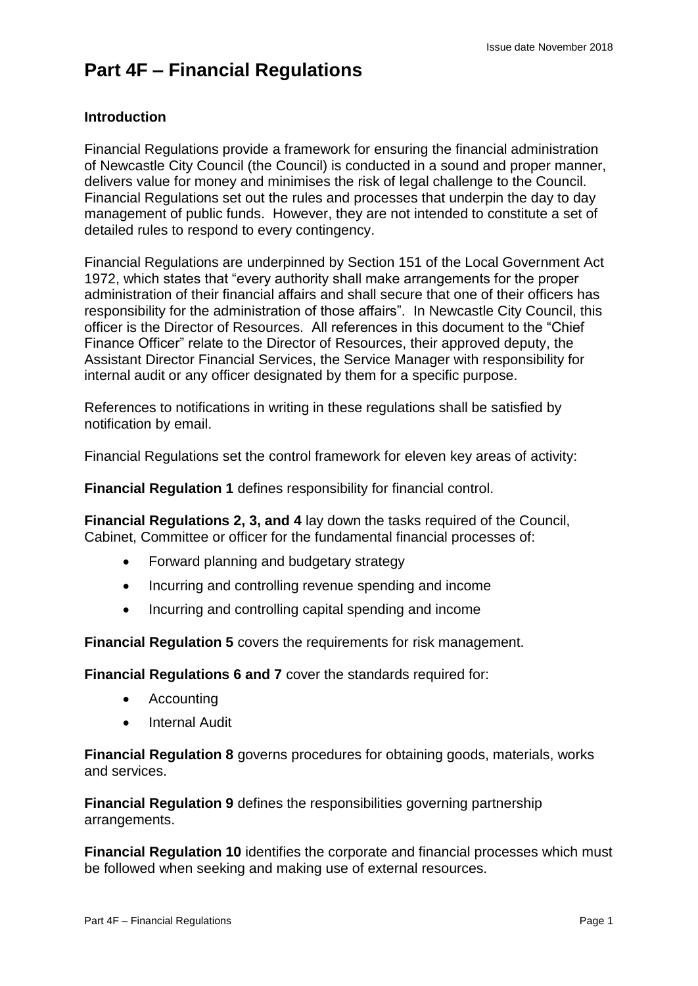# **Part 4F – Financial Regulations**

#### **Introduction**

Financial Regulations provide a framework for ensuring the financial administration of Newcastle City Council (the Council) is conducted in a sound and proper manner, delivers value for money and minimises the risk of legal challenge to the Council. Financial Regulations set out the rules and processes that underpin the day to day management of public funds. However, they are not intended to constitute a set of detailed rules to respond to every contingency.

Financial Regulations are underpinned by Section 151 of the Local Government Act 1972, which states that "every authority shall make arrangements for the proper administration of their financial affairs and shall secure that one of their officers has responsibility for the administration of those affairs". In Newcastle City Council, this officer is the Director of Resources. All references in this document to the "Chief Finance Officer" relate to the Director of Resources, their approved deputy, the Assistant Director Financial Services, the Service Manager with responsibility for internal audit or any officer designated by them for a specific purpose.

References to notifications in writing in these regulations shall be satisfied by notification by email.

Financial Regulations set the control framework for eleven key areas of activity:

**Financial Regulation 1** defines responsibility for financial control.

**Financial Regulations 2, 3, and 4** lay down the tasks required of the Council, Cabinet, Committee or officer for the fundamental financial processes of:

- Forward planning and budgetary strategy
- Incurring and controlling revenue spending and income
- Incurring and controlling capital spending and income

**Financial Regulation 5** covers the requirements for risk management.

**Financial Regulations 6 and 7** cover the standards required for:

- Accounting
- Internal Audit

**Financial Regulation 8** governs procedures for obtaining goods, materials, works and services.

**Financial Regulation 9** defines the responsibilities governing partnership arrangements.

**Financial Regulation 10** identifies the corporate and financial processes which must be followed when seeking and making use of external resources.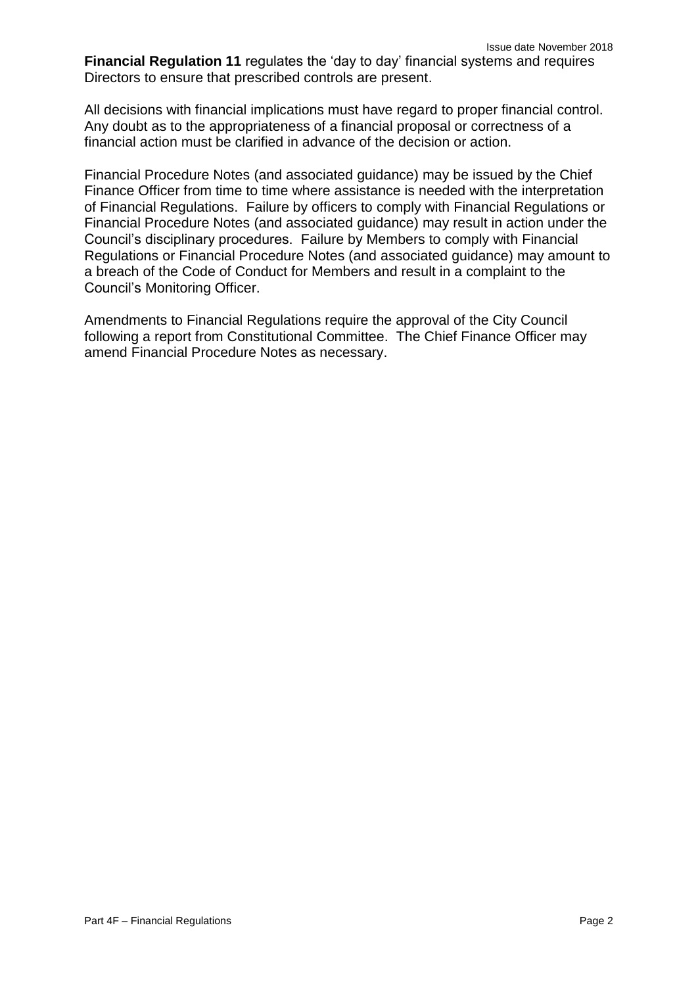**Financial Regulation 11** regulates the 'day to day' financial systems and requires Directors to ensure that prescribed controls are present.

All decisions with financial implications must have regard to proper financial control. Any doubt as to the appropriateness of a financial proposal or correctness of a financial action must be clarified in advance of the decision or action.

Financial Procedure Notes (and associated guidance) may be issued by the Chief Finance Officer from time to time where assistance is needed with the interpretation of Financial Regulations. Failure by officers to comply with Financial Regulations or Financial Procedure Notes (and associated guidance) may result in action under the Council's disciplinary procedures. Failure by Members to comply with Financial Regulations or Financial Procedure Notes (and associated guidance) may amount to a breach of the Code of Conduct for Members and result in a complaint to the Council's Monitoring Officer.

Amendments to Financial Regulations require the approval of the City Council following a report from Constitutional Committee. The Chief Finance Officer may amend Financial Procedure Notes as necessary.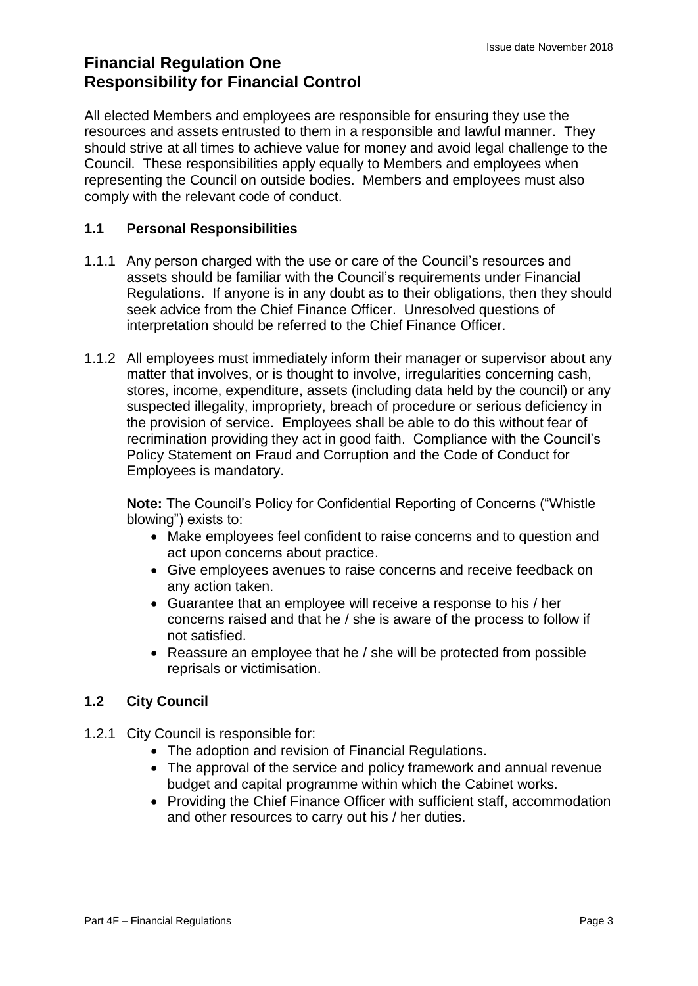### **Financial Regulation One Responsibility for Financial Control**

All elected Members and employees are responsible for ensuring they use the resources and assets entrusted to them in a responsible and lawful manner. They should strive at all times to achieve value for money and avoid legal challenge to the Council. These responsibilities apply equally to Members and employees when representing the Council on outside bodies. Members and employees must also comply with the relevant code of conduct.

#### **1.1 Personal Responsibilities**

- 1.1.1 Any person charged with the use or care of the Council's resources and assets should be familiar with the Council's requirements under Financial Regulations. If anyone is in any doubt as to their obligations, then they should seek advice from the Chief Finance Officer. Unresolved questions of interpretation should be referred to the Chief Finance Officer.
- 1.1.2 All employees must immediately inform their manager or supervisor about any matter that involves, or is thought to involve, irregularities concerning cash, stores, income, expenditure, assets (including data held by the council) or any suspected illegality, impropriety, breach of procedure or serious deficiency in the provision of service. Employees shall be able to do this without fear of recrimination providing they act in good faith. Compliance with the Council's Policy Statement on Fraud and Corruption and the Code of Conduct for Employees is mandatory.

**Note:** The Council's Policy for Confidential Reporting of Concerns ("Whistle blowing") exists to:

- Make employees feel confident to raise concerns and to question and act upon concerns about practice.
- Give employees avenues to raise concerns and receive feedback on any action taken.
- Guarantee that an employee will receive a response to his / her concerns raised and that he / she is aware of the process to follow if not satisfied.
- Reassure an employee that he / she will be protected from possible reprisals or victimisation.

#### **1.2 City Council**

- 1.2.1 City Council is responsible for:
	- The adoption and revision of Financial Regulations.
	- The approval of the service and policy framework and annual revenue budget and capital programme within which the Cabinet works.
	- Providing the Chief Finance Officer with sufficient staff, accommodation and other resources to carry out his / her duties.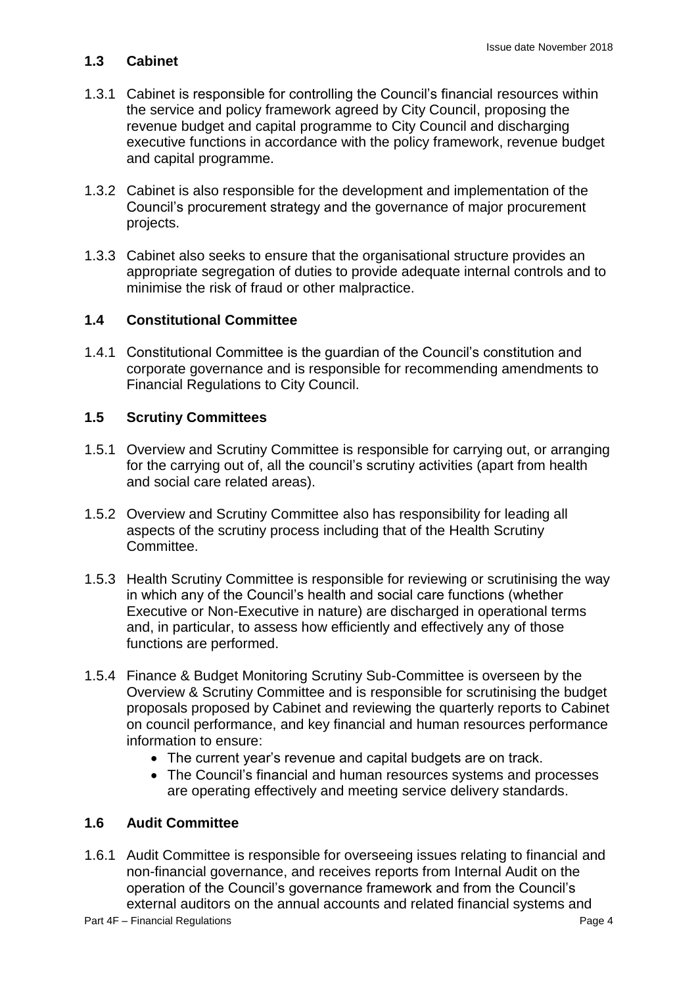#### **1.3 Cabinet**

- 1.3.1 Cabinet is responsible for controlling the Council's financial resources within the service and policy framework agreed by City Council, proposing the revenue budget and capital programme to City Council and discharging executive functions in accordance with the policy framework, revenue budget and capital programme.
- 1.3.2 Cabinet is also responsible for the development and implementation of the Council's procurement strategy and the governance of major procurement projects.
- 1.3.3 Cabinet also seeks to ensure that the organisational structure provides an appropriate segregation of duties to provide adequate internal controls and to minimise the risk of fraud or other malpractice.

#### **1.4 Constitutional Committee**

1.4.1 Constitutional Committee is the guardian of the Council's constitution and corporate governance and is responsible for recommending amendments to Financial Regulations to City Council.

#### **1.5 Scrutiny Committees**

- 1.5.1 Overview and Scrutiny Committee is responsible for carrying out, or arranging for the carrying out of, all the council's scrutiny activities (apart from health and social care related areas).
- 1.5.2 Overview and Scrutiny Committee also has responsibility for leading all aspects of the scrutiny process including that of the Health Scrutiny Committee.
- 1.5.3 Health Scrutiny Committee is responsible for reviewing or scrutinising the way in which any of the Council's health and social care functions (whether Executive or Non-Executive in nature) are discharged in operational terms and, in particular, to assess how efficiently and effectively any of those functions are performed.
- 1.5.4 Finance & Budget Monitoring Scrutiny Sub-Committee is overseen by the Overview & Scrutiny Committee and is responsible for scrutinising the budget proposals proposed by Cabinet and reviewing the quarterly reports to Cabinet on council performance, and key financial and human resources performance information to ensure:
	- The current year's revenue and capital budgets are on track.
	- The Council's financial and human resources systems and processes are operating effectively and meeting service delivery standards.

#### **1.6 Audit Committee**

1.6.1 Audit Committee is responsible for overseeing issues relating to financial and non-financial governance, and receives reports from Internal Audit on the operation of the Council's governance framework and from the Council's external auditors on the annual accounts and related financial systems and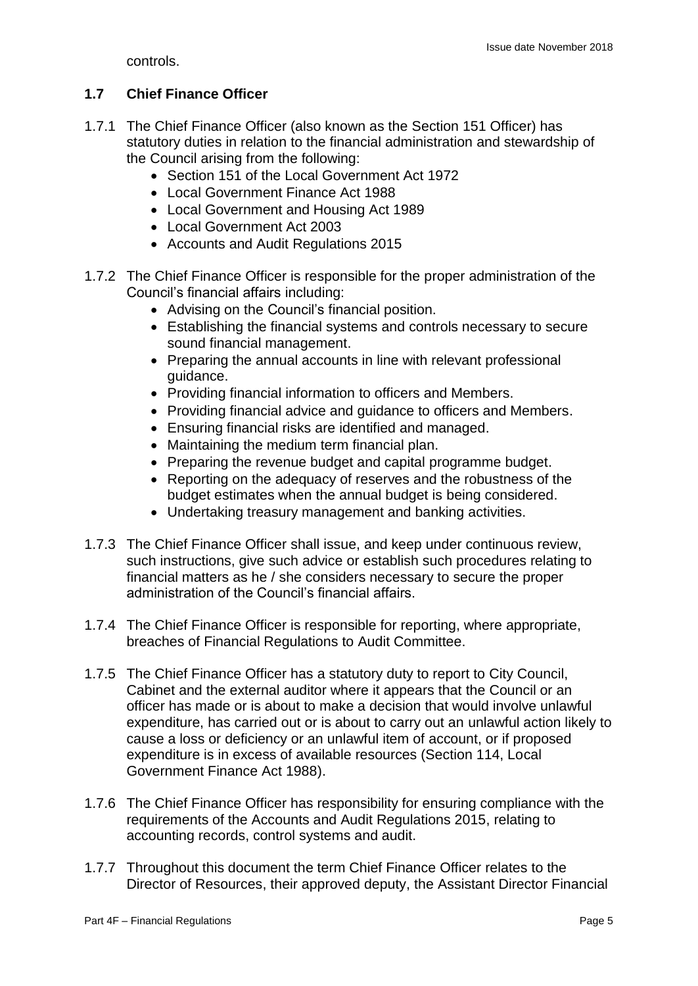controls.

#### **1.7 Chief Finance Officer**

- 1.7.1 The Chief Finance Officer (also known as the Section 151 Officer) has statutory duties in relation to the financial administration and stewardship of the Council arising from the following:
	- Section 151 of the Local Government Act 1972
	- Local Government Finance Act 1988
	- Local Government and Housing Act 1989
	- Local Government Act 2003
	- Accounts and Audit Regulations 2015
- 1.7.2 The Chief Finance Officer is responsible for the proper administration of the Council's financial affairs including:
	- Advising on the Council's financial position.
	- Establishing the financial systems and controls necessary to secure sound financial management.
	- Preparing the annual accounts in line with relevant professional guidance.
	- Providing financial information to officers and Members.
	- Providing financial advice and guidance to officers and Members.
	- Ensuring financial risks are identified and managed.
	- Maintaining the medium term financial plan.
	- Preparing the revenue budget and capital programme budget.
	- Reporting on the adequacy of reserves and the robustness of the budget estimates when the annual budget is being considered.
	- Undertaking treasury management and banking activities.
- 1.7.3 The Chief Finance Officer shall issue, and keep under continuous review, such instructions, give such advice or establish such procedures relating to financial matters as he / she considers necessary to secure the proper administration of the Council's financial affairs.
- 1.7.4 The Chief Finance Officer is responsible for reporting, where appropriate, breaches of Financial Regulations to Audit Committee.
- 1.7.5 The Chief Finance Officer has a statutory duty to report to City Council, Cabinet and the external auditor where it appears that the Council or an officer has made or is about to make a decision that would involve unlawful expenditure, has carried out or is about to carry out an unlawful action likely to cause a loss or deficiency or an unlawful item of account, or if proposed expenditure is in excess of available resources (Section 114, Local Government Finance Act 1988).
- 1.7.6 The Chief Finance Officer has responsibility for ensuring compliance with the requirements of the Accounts and Audit Regulations 2015, relating to accounting records, control systems and audit.
- 1.7.7 Throughout this document the term Chief Finance Officer relates to the Director of Resources, their approved deputy, the Assistant Director Financial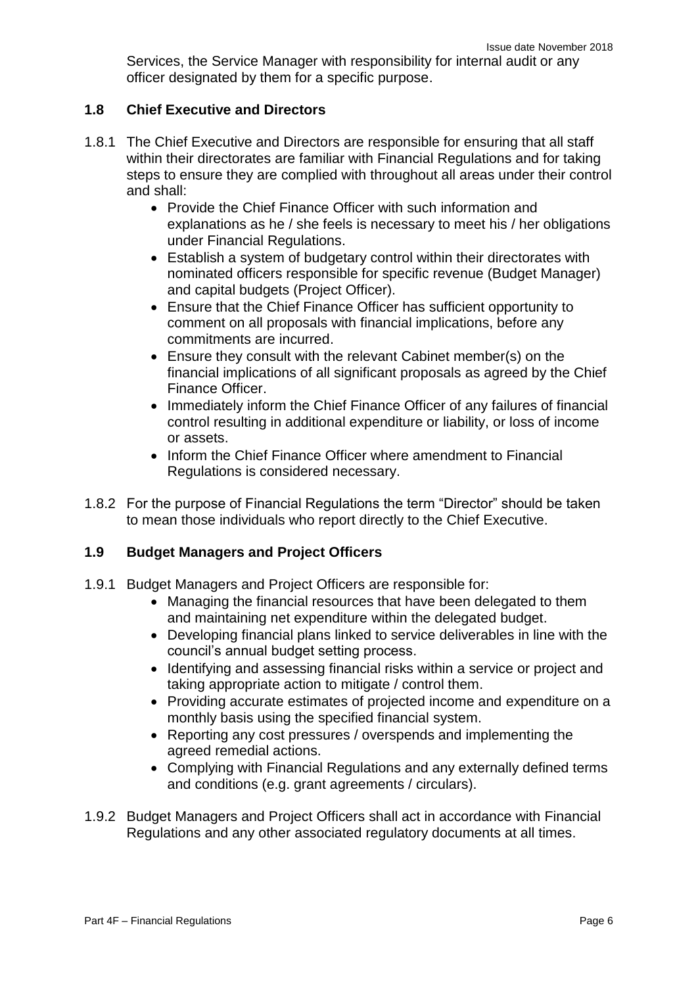Services, the Service Manager with responsibility for internal audit or any officer designated by them for a specific purpose.

#### **1.8 Chief Executive and Directors**

- 1.8.1 The Chief Executive and Directors are responsible for ensuring that all staff within their directorates are familiar with Financial Regulations and for taking steps to ensure they are complied with throughout all areas under their control and shall:
	- Provide the Chief Finance Officer with such information and explanations as he / she feels is necessary to meet his / her obligations under Financial Regulations.
	- Establish a system of budgetary control within their directorates with nominated officers responsible for specific revenue (Budget Manager) and capital budgets (Project Officer).
	- Ensure that the Chief Finance Officer has sufficient opportunity to comment on all proposals with financial implications, before any commitments are incurred.
	- Ensure they consult with the relevant Cabinet member(s) on the financial implications of all significant proposals as agreed by the Chief Finance Officer.
	- Immediately inform the Chief Finance Officer of any failures of financial control resulting in additional expenditure or liability, or loss of income or assets.
	- Inform the Chief Finance Officer where amendment to Financial Regulations is considered necessary.
- 1.8.2 For the purpose of Financial Regulations the term "Director" should be taken to mean those individuals who report directly to the Chief Executive.

#### **1.9 Budget Managers and Project Officers**

- 1.9.1 Budget Managers and Project Officers are responsible for:
	- Managing the financial resources that have been delegated to them and maintaining net expenditure within the delegated budget.
	- Developing financial plans linked to service deliverables in line with the council's annual budget setting process.
	- Identifying and assessing financial risks within a service or project and taking appropriate action to mitigate / control them.
	- Providing accurate estimates of projected income and expenditure on a monthly basis using the specified financial system.
	- Reporting any cost pressures / overspends and implementing the agreed remedial actions.
	- Complying with Financial Regulations and any externally defined terms and conditions (e.g. grant agreements / circulars).
- 1.9.2 Budget Managers and Project Officers shall act in accordance with Financial Regulations and any other associated regulatory documents at all times.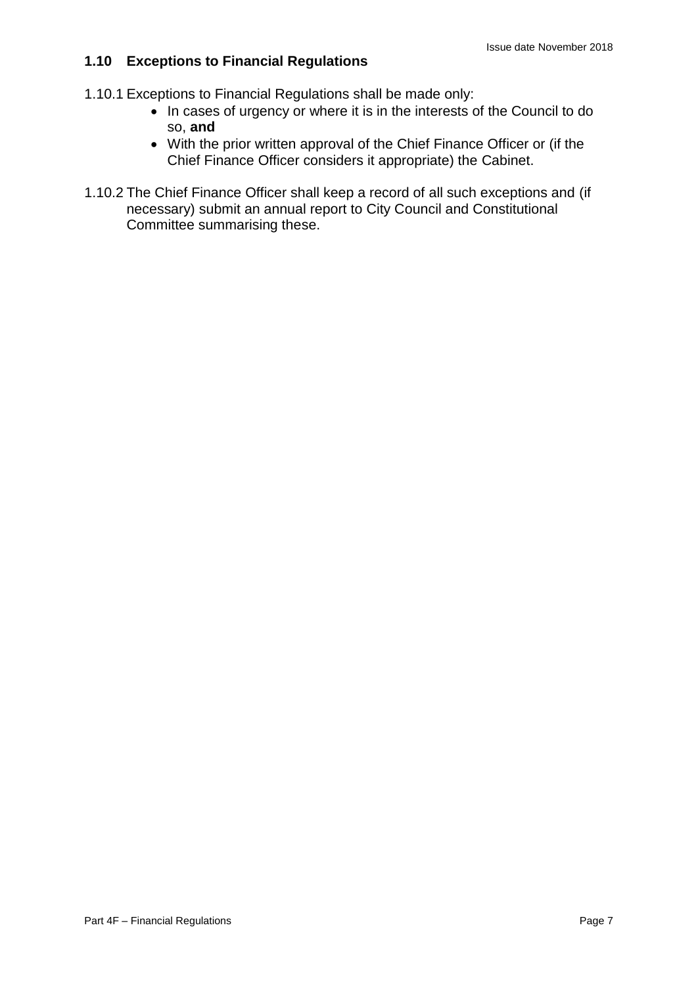#### **1.10 Exceptions to Financial Regulations**

- 1.10.1 Exceptions to Financial Regulations shall be made only:
	- In cases of urgency or where it is in the interests of the Council to do so, **and**
	- With the prior written approval of the Chief Finance Officer or (if the Chief Finance Officer considers it appropriate) the Cabinet.
- 1.10.2 The Chief Finance Officer shall keep a record of all such exceptions and (if necessary) submit an annual report to City Council and Constitutional Committee summarising these.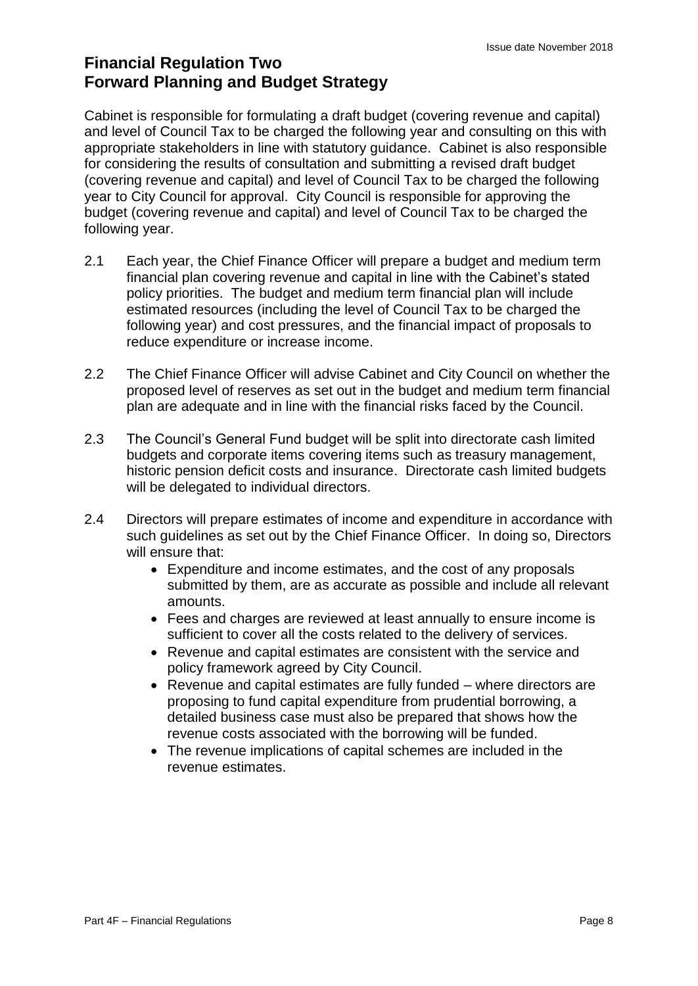### **Financial Regulation Two Forward Planning and Budget Strategy**

Cabinet is responsible for formulating a draft budget (covering revenue and capital) and level of Council Tax to be charged the following year and consulting on this with appropriate stakeholders in line with statutory guidance. Cabinet is also responsible for considering the results of consultation and submitting a revised draft budget (covering revenue and capital) and level of Council Tax to be charged the following year to City Council for approval. City Council is responsible for approving the budget (covering revenue and capital) and level of Council Tax to be charged the following year.

- 2.1 Each year, the Chief Finance Officer will prepare a budget and medium term financial plan covering revenue and capital in line with the Cabinet's stated policy priorities. The budget and medium term financial plan will include estimated resources (including the level of Council Tax to be charged the following year) and cost pressures, and the financial impact of proposals to reduce expenditure or increase income.
- 2.2 The Chief Finance Officer will advise Cabinet and City Council on whether the proposed level of reserves as set out in the budget and medium term financial plan are adequate and in line with the financial risks faced by the Council.
- 2.3 The Council's General Fund budget will be split into directorate cash limited budgets and corporate items covering items such as treasury management, historic pension deficit costs and insurance. Directorate cash limited budgets will be delegated to individual directors.
- 2.4 Directors will prepare estimates of income and expenditure in accordance with such guidelines as set out by the Chief Finance Officer. In doing so, Directors will ensure that:
	- Expenditure and income estimates, and the cost of any proposals submitted by them, are as accurate as possible and include all relevant amounts.
	- Fees and charges are reviewed at least annually to ensure income is sufficient to cover all the costs related to the delivery of services.
	- Revenue and capital estimates are consistent with the service and policy framework agreed by City Council.
	- Revenue and capital estimates are fully funded where directors are proposing to fund capital expenditure from prudential borrowing, a detailed business case must also be prepared that shows how the revenue costs associated with the borrowing will be funded.
	- The revenue implications of capital schemes are included in the revenue estimates.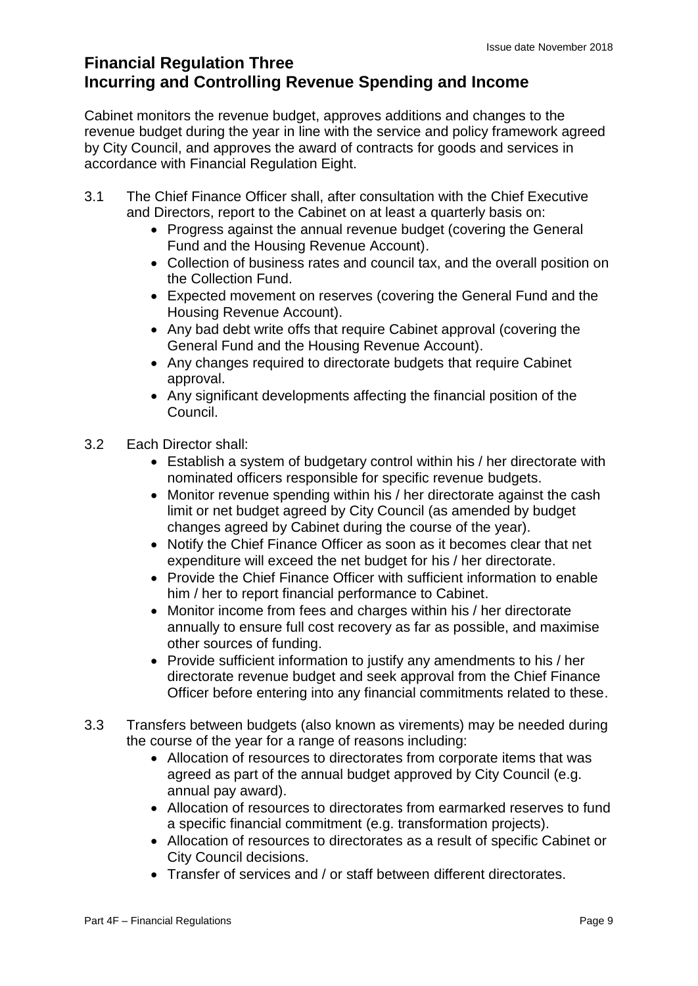### **Financial Regulation Three Incurring and Controlling Revenue Spending and Income**

Cabinet monitors the revenue budget, approves additions and changes to the revenue budget during the year in line with the service and policy framework agreed by City Council, and approves the award of contracts for goods and services in accordance with Financial Regulation Eight.

- 3.1 The Chief Finance Officer shall, after consultation with the Chief Executive and Directors, report to the Cabinet on at least a quarterly basis on:
	- Progress against the annual revenue budget (covering the General Fund and the Housing Revenue Account).
	- Collection of business rates and council tax, and the overall position on the Collection Fund.
	- Expected movement on reserves (covering the General Fund and the Housing Revenue Account).
	- Any bad debt write offs that require Cabinet approval (covering the General Fund and the Housing Revenue Account).
	- Any changes required to directorate budgets that require Cabinet approval.
	- Any significant developments affecting the financial position of the Council.
- 3.2 Each Director shall:
	- Establish a system of budgetary control within his / her directorate with nominated officers responsible for specific revenue budgets.
	- Monitor revenue spending within his / her directorate against the cash limit or net budget agreed by City Council (as amended by budget changes agreed by Cabinet during the course of the year).
	- Notify the Chief Finance Officer as soon as it becomes clear that net expenditure will exceed the net budget for his / her directorate.
	- Provide the Chief Finance Officer with sufficient information to enable him / her to report financial performance to Cabinet.
	- Monitor income from fees and charges within his / her directorate annually to ensure full cost recovery as far as possible, and maximise other sources of funding.
	- Provide sufficient information to justify any amendments to his / her directorate revenue budget and seek approval from the Chief Finance Officer before entering into any financial commitments related to these.
- 3.3 Transfers between budgets (also known as virements) may be needed during the course of the year for a range of reasons including:
	- Allocation of resources to directorates from corporate items that was agreed as part of the annual budget approved by City Council (e.g. annual pay award).
	- Allocation of resources to directorates from earmarked reserves to fund a specific financial commitment (e.g. transformation projects).
	- Allocation of resources to directorates as a result of specific Cabinet or City Council decisions.
	- Transfer of services and / or staff between different directorates.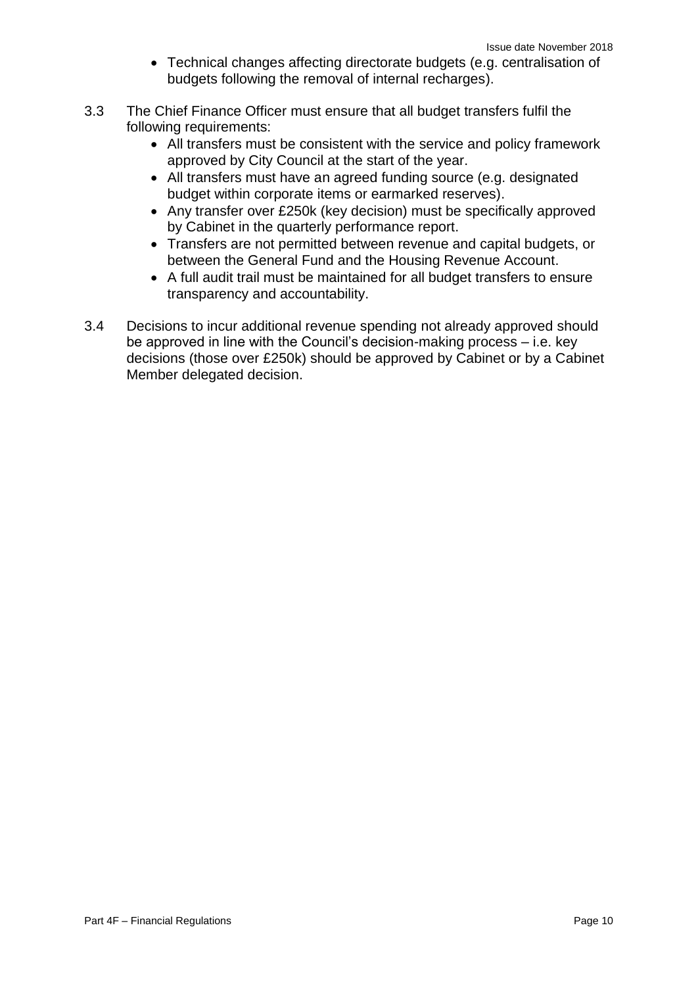- Technical changes affecting directorate budgets (e.g. centralisation of budgets following the removal of internal recharges).
- 3.3 The Chief Finance Officer must ensure that all budget transfers fulfil the following requirements:
	- All transfers must be consistent with the service and policy framework approved by City Council at the start of the year.
	- All transfers must have an agreed funding source (e.g. designated budget within corporate items or earmarked reserves).
	- Any transfer over £250k (key decision) must be specifically approved by Cabinet in the quarterly performance report.
	- Transfers are not permitted between revenue and capital budgets, or between the General Fund and the Housing Revenue Account.
	- A full audit trail must be maintained for all budget transfers to ensure transparency and accountability.
- 3.4 Decisions to incur additional revenue spending not already approved should be approved in line with the Council's decision-making process – i.e. key decisions (those over £250k) should be approved by Cabinet or by a Cabinet Member delegated decision.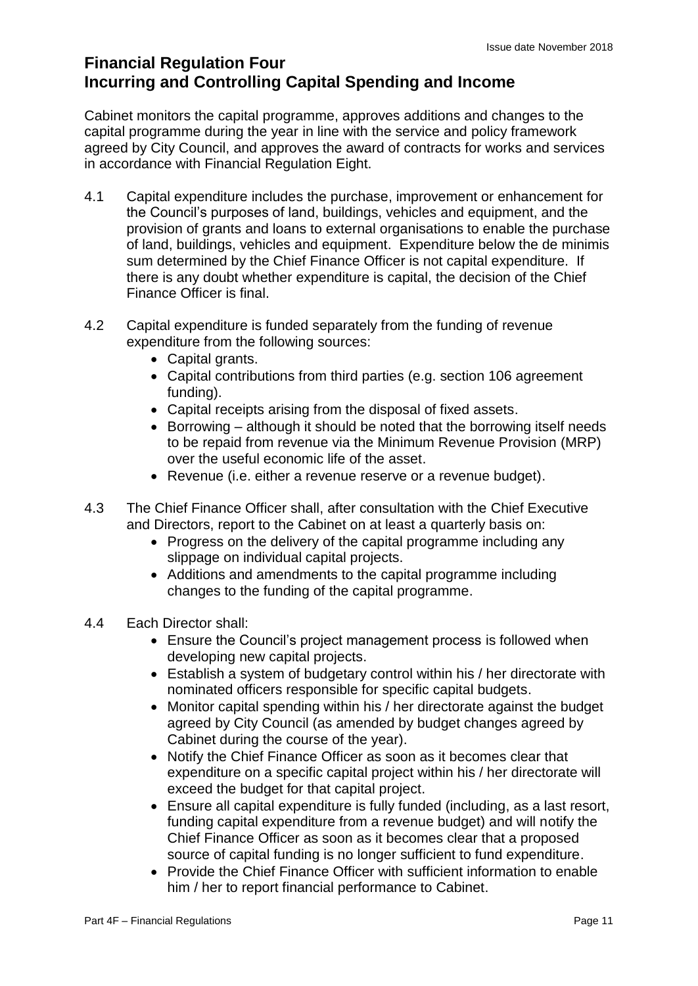### **Financial Regulation Four Incurring and Controlling Capital Spending and Income**

Cabinet monitors the capital programme, approves additions and changes to the capital programme during the year in line with the service and policy framework agreed by City Council, and approves the award of contracts for works and services in accordance with Financial Regulation Eight.

- 4.1 Capital expenditure includes the purchase, improvement or enhancement for the Council's purposes of land, buildings, vehicles and equipment, and the provision of grants and loans to external organisations to enable the purchase of land, buildings, vehicles and equipment. Expenditure below the de minimis sum determined by the Chief Finance Officer is not capital expenditure. If there is any doubt whether expenditure is capital, the decision of the Chief Finance Officer is final.
- 4.2 Capital expenditure is funded separately from the funding of revenue expenditure from the following sources:
	- Capital grants.
	- Capital contributions from third parties (e.g. section 106 agreement funding).
	- Capital receipts arising from the disposal of fixed assets.
	- Borrowing although it should be noted that the borrowing itself needs to be repaid from revenue via the Minimum Revenue Provision (MRP) over the useful economic life of the asset.
	- Revenue (i.e. either a revenue reserve or a revenue budget).
- 4.3 The Chief Finance Officer shall, after consultation with the Chief Executive and Directors, report to the Cabinet on at least a quarterly basis on:
	- Progress on the delivery of the capital programme including any slippage on individual capital projects.
	- Additions and amendments to the capital programme including changes to the funding of the capital programme.
- 4.4 Each Director shall:
	- Ensure the Council's project management process is followed when developing new capital projects.
	- Establish a system of budgetary control within his / her directorate with nominated officers responsible for specific capital budgets.
	- Monitor capital spending within his / her directorate against the budget agreed by City Council (as amended by budget changes agreed by Cabinet during the course of the year).
	- Notify the Chief Finance Officer as soon as it becomes clear that expenditure on a specific capital project within his / her directorate will exceed the budget for that capital project.
	- Ensure all capital expenditure is fully funded (including, as a last resort, funding capital expenditure from a revenue budget) and will notify the Chief Finance Officer as soon as it becomes clear that a proposed source of capital funding is no longer sufficient to fund expenditure.
	- Provide the Chief Finance Officer with sufficient information to enable him / her to report financial performance to Cabinet.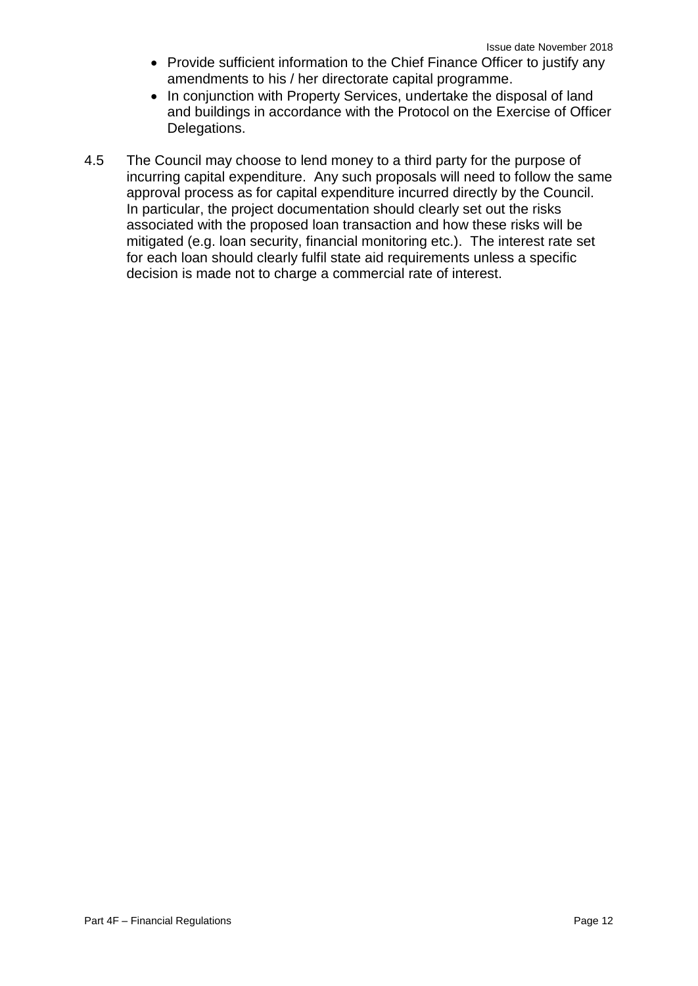- Provide sufficient information to the Chief Finance Officer to justify any amendments to his / her directorate capital programme.
- In conjunction with Property Services, undertake the disposal of land and buildings in accordance with the Protocol on the Exercise of Officer Delegations.
- 4.5 The Council may choose to lend money to a third party for the purpose of incurring capital expenditure. Any such proposals will need to follow the same approval process as for capital expenditure incurred directly by the Council. In particular, the project documentation should clearly set out the risks associated with the proposed loan transaction and how these risks will be mitigated (e.g. loan security, financial monitoring etc.). The interest rate set for each loan should clearly fulfil state aid requirements unless a specific decision is made not to charge a commercial rate of interest.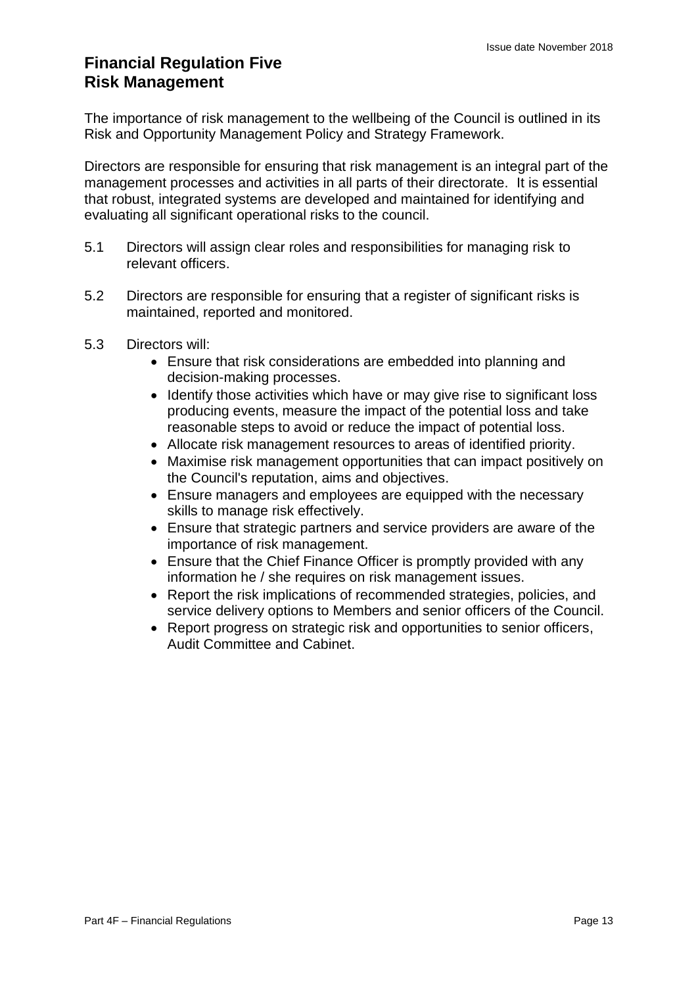### **Financial Regulation Five Risk Management**

The importance of risk management to the wellbeing of the Council is outlined in its Risk and Opportunity Management Policy and Strategy Framework.

Directors are responsible for ensuring that risk management is an integral part of the management processes and activities in all parts of their directorate. It is essential that robust, integrated systems are developed and maintained for identifying and evaluating all significant operational risks to the council.

- 5.1 Directors will assign clear roles and responsibilities for managing risk to relevant officers.
- 5.2 Directors are responsible for ensuring that a register of significant risks is maintained, reported and monitored.
- 5.3 Directors will:
	- Ensure that risk considerations are embedded into planning and decision-making processes.
	- Identify those activities which have or may give rise to significant loss producing events, measure the impact of the potential loss and take reasonable steps to avoid or reduce the impact of potential loss.
	- Allocate risk management resources to areas of identified priority.
	- Maximise risk management opportunities that can impact positively on the Council's reputation, aims and objectives.
	- Ensure managers and employees are equipped with the necessary skills to manage risk effectively.
	- Ensure that strategic partners and service providers are aware of the importance of risk management.
	- Ensure that the Chief Finance Officer is promptly provided with any information he / she requires on risk management issues.
	- Report the risk implications of recommended strategies, policies, and service delivery options to Members and senior officers of the Council.
	- Report progress on strategic risk and opportunities to senior officers, Audit Committee and Cabinet.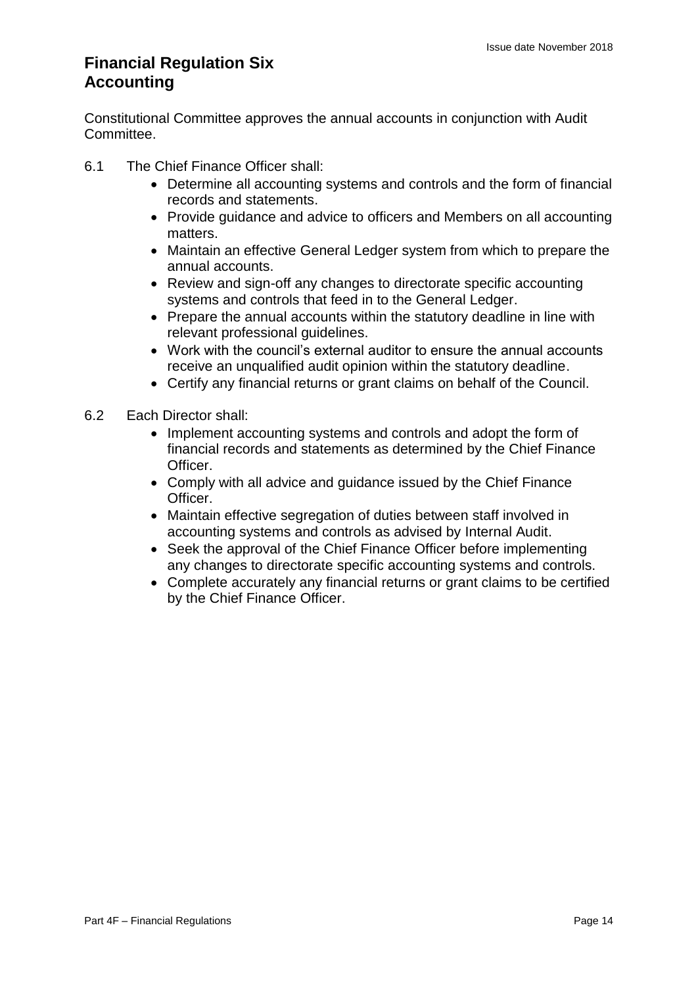### **Financial Regulation Six Accounting**

Constitutional Committee approves the annual accounts in conjunction with Audit Committee.

- 6.1 The Chief Finance Officer shall:
	- Determine all accounting systems and controls and the form of financial records and statements.
	- Provide guidance and advice to officers and Members on all accounting matters.
	- Maintain an effective General Ledger system from which to prepare the annual accounts.
	- Review and sign-off any changes to directorate specific accounting systems and controls that feed in to the General Ledger.
	- Prepare the annual accounts within the statutory deadline in line with relevant professional guidelines.
	- Work with the council's external auditor to ensure the annual accounts receive an unqualified audit opinion within the statutory deadline.
	- Certify any financial returns or grant claims on behalf of the Council.
- 6.2 Each Director shall:
	- Implement accounting systems and controls and adopt the form of financial records and statements as determined by the Chief Finance Officer.
	- Comply with all advice and guidance issued by the Chief Finance Officer.
	- Maintain effective segregation of duties between staff involved in accounting systems and controls as advised by Internal Audit.
	- Seek the approval of the Chief Finance Officer before implementing any changes to directorate specific accounting systems and controls.
	- Complete accurately any financial returns or grant claims to be certified by the Chief Finance Officer.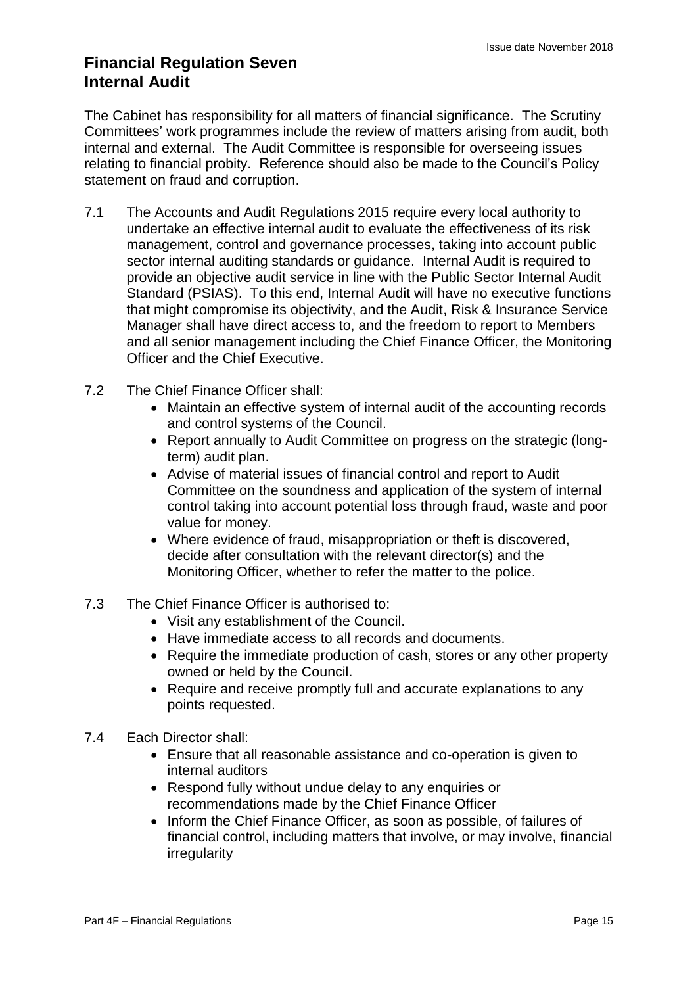### **Financial Regulation Seven Internal Audit**

The Cabinet has responsibility for all matters of financial significance. The Scrutiny Committees' work programmes include the review of matters arising from audit, both internal and external. The Audit Committee is responsible for overseeing issues relating to financial probity. Reference should also be made to the Council's Policy statement on fraud and corruption.

- 7.1 The Accounts and Audit Regulations 2015 require every local authority to undertake an effective internal audit to evaluate the effectiveness of its risk management, control and governance processes, taking into account public sector internal auditing standards or guidance. Internal Audit is required to provide an objective audit service in line with the Public Sector Internal Audit Standard (PSIAS). To this end, Internal Audit will have no executive functions that might compromise its objectivity, and the Audit, Risk & Insurance Service Manager shall have direct access to, and the freedom to report to Members and all senior management including the Chief Finance Officer, the Monitoring Officer and the Chief Executive.
- 7.2 The Chief Finance Officer shall:
	- Maintain an effective system of internal audit of the accounting records and control systems of the Council.
	- Report annually to Audit Committee on progress on the strategic (longterm) audit plan.
	- Advise of material issues of financial control and report to Audit Committee on the soundness and application of the system of internal control taking into account potential loss through fraud, waste and poor value for money.
	- Where evidence of fraud, misappropriation or theft is discovered, decide after consultation with the relevant director(s) and the Monitoring Officer, whether to refer the matter to the police.
- 7.3 The Chief Finance Officer is authorised to:
	- Visit any establishment of the Council.
	- Have immediate access to all records and documents.
	- Require the immediate production of cash, stores or any other property owned or held by the Council.
	- Require and receive promptly full and accurate explanations to any points requested.
- 7.4 Each Director shall:
	- Ensure that all reasonable assistance and co-operation is given to internal auditors
	- Respond fully without undue delay to any enquiries or recommendations made by the Chief Finance Officer
	- Inform the Chief Finance Officer, as soon as possible, of failures of financial control, including matters that involve, or may involve, financial irregularity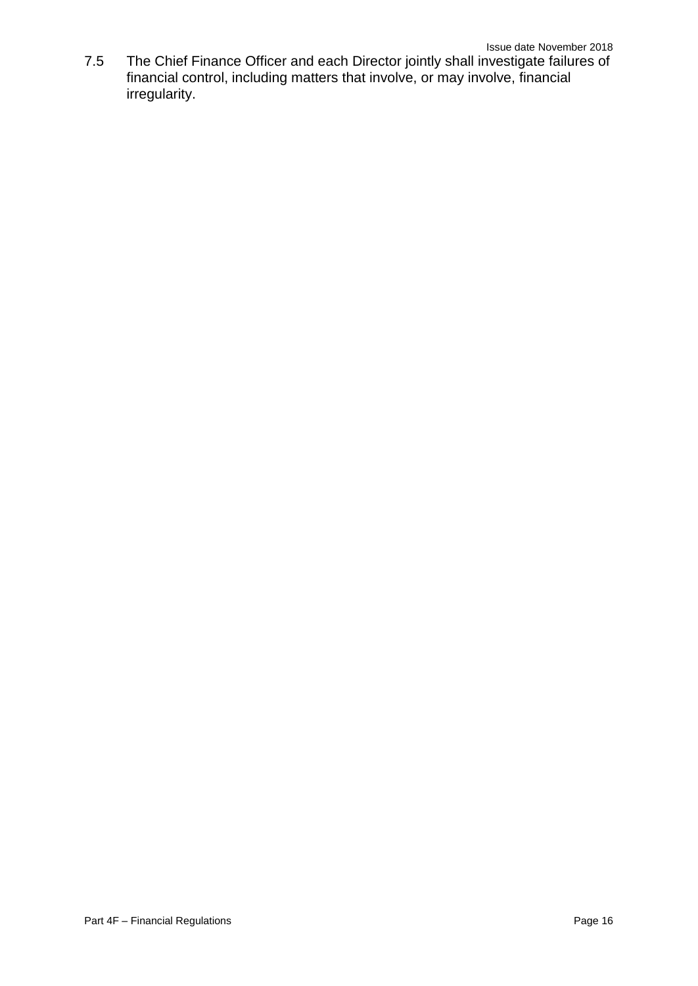7.5 The Chief Finance Officer and each Director jointly shall investigate failures of financial control, including matters that involve, or may involve, financial irregularity.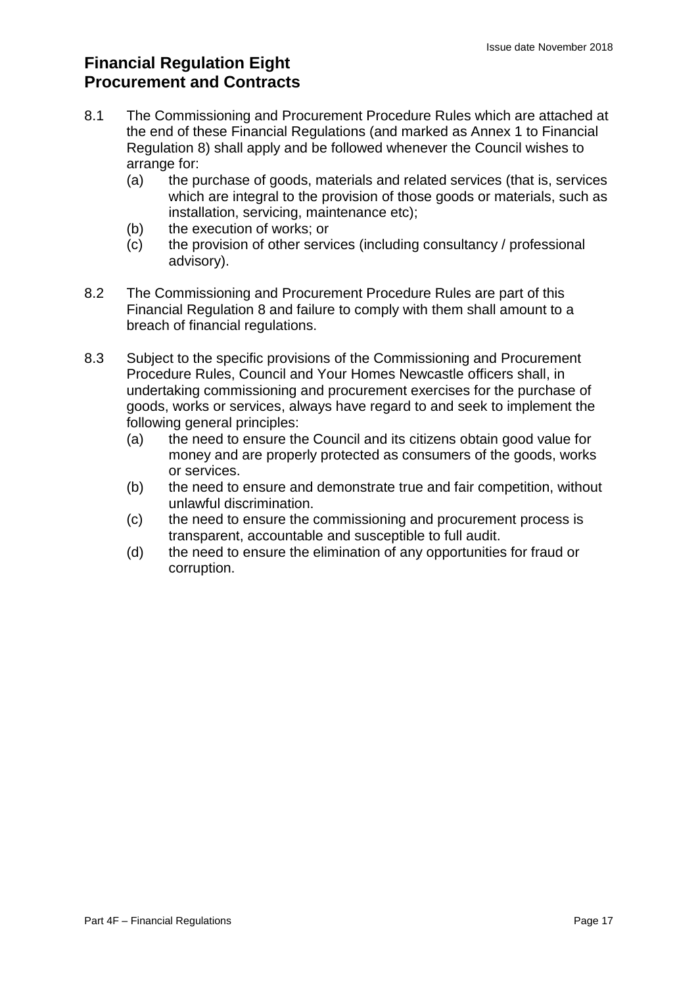## **Financial Regulation Eight Procurement and Contracts**

- 8.1 The Commissioning and Procurement Procedure Rules which are attached at the end of these Financial Regulations (and marked as Annex 1 to Financial Regulation 8) shall apply and be followed whenever the Council wishes to arrange for:
	- (a) the purchase of goods, materials and related services (that is, services which are integral to the provision of those goods or materials, such as installation, servicing, maintenance etc);
	- (b) the execution of works; or
	- (c) the provision of other services (including consultancy / professional advisory).
- 8.2 The Commissioning and Procurement Procedure Rules are part of this Financial Regulation 8 and failure to comply with them shall amount to a breach of financial regulations.
- 8.3 Subject to the specific provisions of the Commissioning and Procurement Procedure Rules, Council and Your Homes Newcastle officers shall, in undertaking commissioning and procurement exercises for the purchase of goods, works or services, always have regard to and seek to implement the following general principles:
	- (a) the need to ensure the Council and its citizens obtain good value for money and are properly protected as consumers of the goods, works or services.
	- (b) the need to ensure and demonstrate true and fair competition, without unlawful discrimination.
	- (c) the need to ensure the commissioning and procurement process is transparent, accountable and susceptible to full audit.
	- (d) the need to ensure the elimination of any opportunities for fraud or corruption.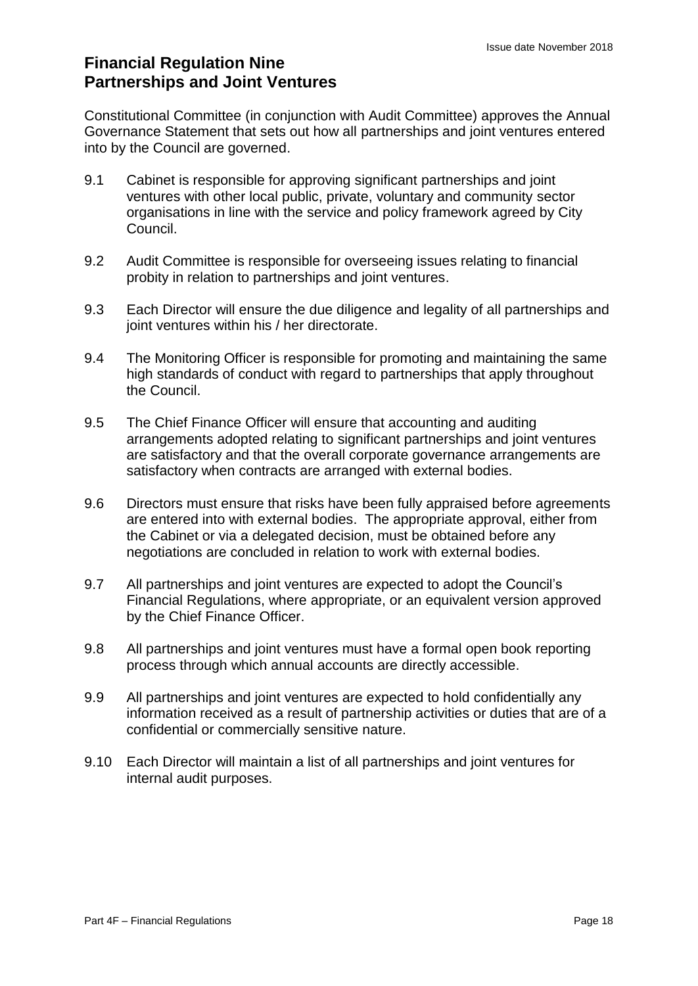### **Financial Regulation Nine Partnerships and Joint Ventures**

Constitutional Committee (in conjunction with Audit Committee) approves the Annual Governance Statement that sets out how all partnerships and joint ventures entered into by the Council are governed.

- 9.1 Cabinet is responsible for approving significant partnerships and joint ventures with other local public, private, voluntary and community sector organisations in line with the service and policy framework agreed by City Council.
- 9.2 Audit Committee is responsible for overseeing issues relating to financial probity in relation to partnerships and joint ventures.
- 9.3 Each Director will ensure the due diligence and legality of all partnerships and joint ventures within his / her directorate.
- 9.4 The Monitoring Officer is responsible for promoting and maintaining the same high standards of conduct with regard to partnerships that apply throughout the Council.
- 9.5 The Chief Finance Officer will ensure that accounting and auditing arrangements adopted relating to significant partnerships and joint ventures are satisfactory and that the overall corporate governance arrangements are satisfactory when contracts are arranged with external bodies.
- 9.6 Directors must ensure that risks have been fully appraised before agreements are entered into with external bodies. The appropriate approval, either from the Cabinet or via a delegated decision, must be obtained before any negotiations are concluded in relation to work with external bodies.
- 9.7 All partnerships and joint ventures are expected to adopt the Council's Financial Regulations, where appropriate, or an equivalent version approved by the Chief Finance Officer.
- 9.8 All partnerships and joint ventures must have a formal open book reporting process through which annual accounts are directly accessible.
- 9.9 All partnerships and joint ventures are expected to hold confidentially any information received as a result of partnership activities or duties that are of a confidential or commercially sensitive nature.
- 9.10 Each Director will maintain a list of all partnerships and joint ventures for internal audit purposes.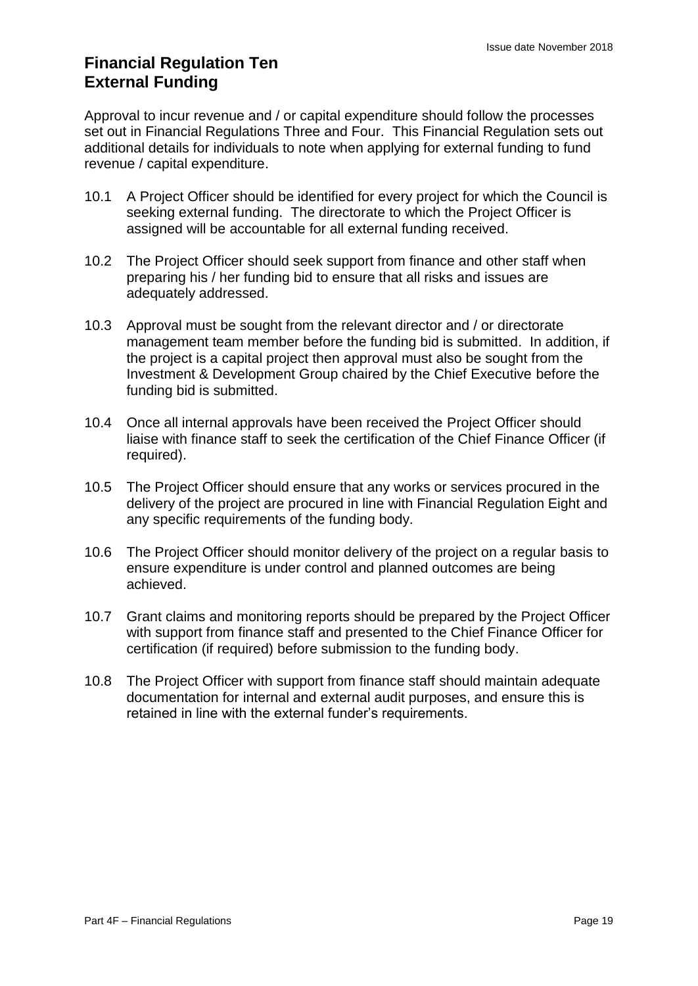### **Financial Regulation Ten External Funding**

Approval to incur revenue and / or capital expenditure should follow the processes set out in Financial Regulations Three and Four. This Financial Regulation sets out additional details for individuals to note when applying for external funding to fund revenue / capital expenditure.

- 10.1 A Project Officer should be identified for every project for which the Council is seeking external funding. The directorate to which the Project Officer is assigned will be accountable for all external funding received.
- 10.2 The Project Officer should seek support from finance and other staff when preparing his / her funding bid to ensure that all risks and issues are adequately addressed.
- 10.3 Approval must be sought from the relevant director and / or directorate management team member before the funding bid is submitted. In addition, if the project is a capital project then approval must also be sought from the Investment & Development Group chaired by the Chief Executive before the funding bid is submitted.
- 10.4 Once all internal approvals have been received the Project Officer should liaise with finance staff to seek the certification of the Chief Finance Officer (if required).
- 10.5 The Project Officer should ensure that any works or services procured in the delivery of the project are procured in line with Financial Regulation Eight and any specific requirements of the funding body.
- 10.6 The Project Officer should monitor delivery of the project on a regular basis to ensure expenditure is under control and planned outcomes are being achieved.
- 10.7 Grant claims and monitoring reports should be prepared by the Project Officer with support from finance staff and presented to the Chief Finance Officer for certification (if required) before submission to the funding body.
- 10.8 The Project Officer with support from finance staff should maintain adequate documentation for internal and external audit purposes, and ensure this is retained in line with the external funder's requirements.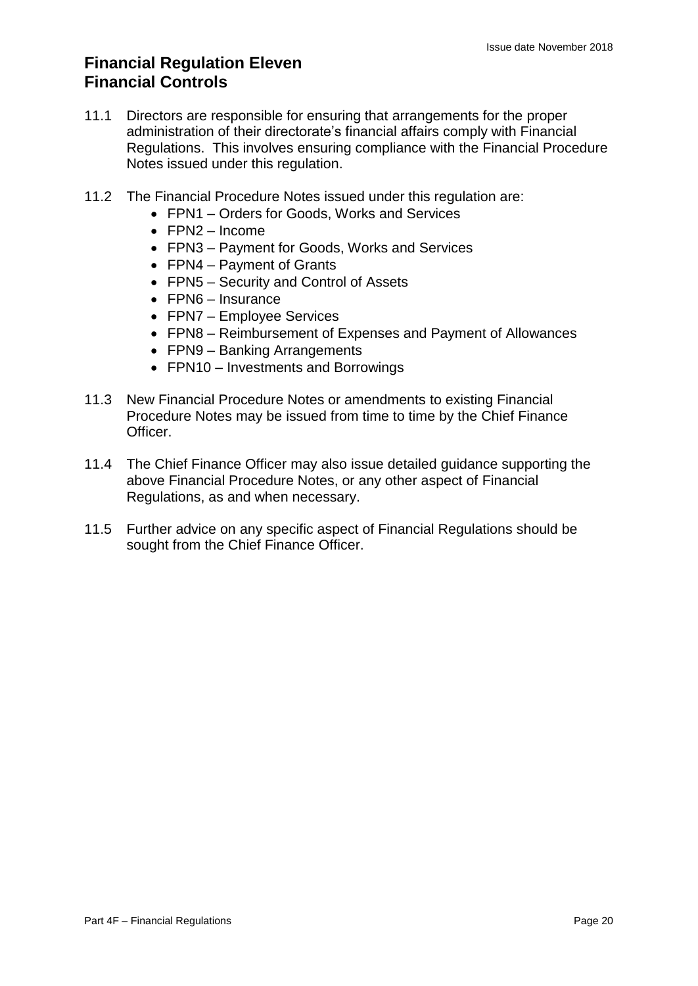### **Financial Regulation Eleven Financial Controls**

- 11.1 Directors are responsible for ensuring that arrangements for the proper administration of their directorate's financial affairs comply with Financial Regulations. This involves ensuring compliance with the Financial Procedure Notes issued under this regulation.
- 11.2 The Financial Procedure Notes issued under this regulation are:
	- FPN1 Orders for Goods, Works and Services
	- FPN2 Income
	- FPN3 Payment for Goods, Works and Services
	- FPN4 Payment of Grants
	- FPN5 Security and Control of Assets
	- FPN6 Insurance
	- FPN7 Employee Services
	- FPN8 Reimbursement of Expenses and Payment of Allowances
	- FPN9 Banking Arrangements
	- FPN10 Investments and Borrowings
- 11.3 New Financial Procedure Notes or amendments to existing Financial Procedure Notes may be issued from time to time by the Chief Finance Officer.
- 11.4 The Chief Finance Officer may also issue detailed guidance supporting the above Financial Procedure Notes, or any other aspect of Financial Regulations, as and when necessary.
- 11.5 Further advice on any specific aspect of Financial Regulations should be sought from the Chief Finance Officer.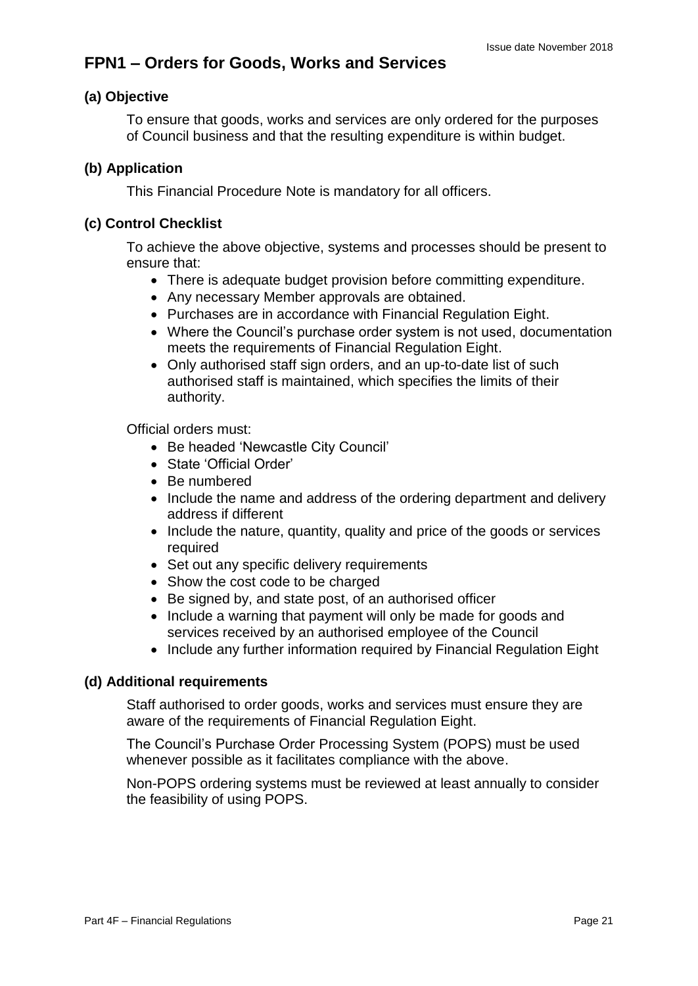## **FPN1 – Orders for Goods, Works and Services**

#### **(a) Objective**

To ensure that goods, works and services are only ordered for the purposes of Council business and that the resulting expenditure is within budget.

#### **(b) Application**

This Financial Procedure Note is mandatory for all officers.

#### **(c) Control Checklist**

To achieve the above objective, systems and processes should be present to ensure that:

- There is adequate budget provision before committing expenditure.
- Any necessary Member approvals are obtained.
- Purchases are in accordance with Financial Regulation Eight.
- Where the Council's purchase order system is not used, documentation meets the requirements of Financial Regulation Eight.
- Only authorised staff sign orders, and an up-to-date list of such authorised staff is maintained, which specifies the limits of their authority.

Official orders must:

- Be headed 'Newcastle City Council'
- State 'Official Order'
- Be numbered
- Include the name and address of the ordering department and delivery address if different
- Include the nature, quantity, quality and price of the goods or services required
- Set out any specific delivery requirements
- Show the cost code to be charged
- Be signed by, and state post, of an authorised officer
- Include a warning that payment will only be made for goods and services received by an authorised employee of the Council
- Include any further information required by Financial Regulation Eight

#### **(d) Additional requirements**

Staff authorised to order goods, works and services must ensure they are aware of the requirements of Financial Regulation Eight.

The Council's Purchase Order Processing System (POPS) must be used whenever possible as it facilitates compliance with the above.

Non-POPS ordering systems must be reviewed at least annually to consider the feasibility of using POPS.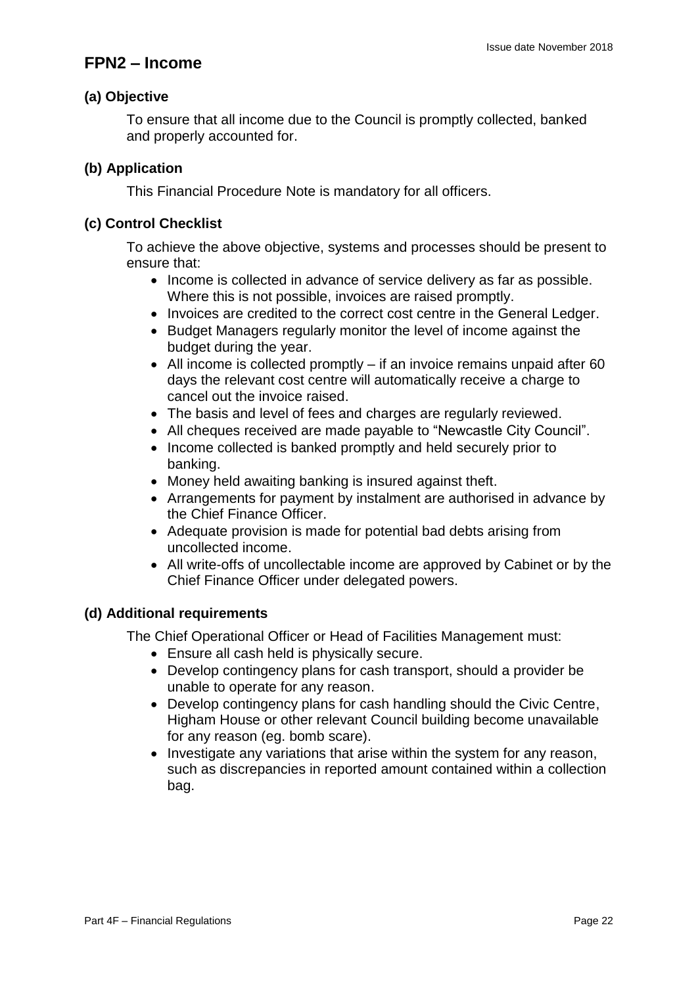### **FPN2 – Income**

#### **(a) Objective**

To ensure that all income due to the Council is promptly collected, banked and properly accounted for.

#### **(b) Application**

This Financial Procedure Note is mandatory for all officers.

#### **(c) Control Checklist**

To achieve the above objective, systems and processes should be present to ensure that:

- Income is collected in advance of service delivery as far as possible. Where this is not possible, invoices are raised promptly.
- Invoices are credited to the correct cost centre in the General Ledger.
- Budget Managers regularly monitor the level of income against the budget during the year.
- $\bullet$  All income is collected promptly if an invoice remains unpaid after 60 days the relevant cost centre will automatically receive a charge to cancel out the invoice raised.
- The basis and level of fees and charges are regularly reviewed.
- All cheques received are made payable to "Newcastle City Council".
- Income collected is banked promptly and held securely prior to banking.
- Money held awaiting banking is insured against theft.
- Arrangements for payment by instalment are authorised in advance by the Chief Finance Officer.
- Adequate provision is made for potential bad debts arising from uncollected income.
- All write-offs of uncollectable income are approved by Cabinet or by the Chief Finance Officer under delegated powers.

#### **(d) Additional requirements**

The Chief Operational Officer or Head of Facilities Management must:

- Ensure all cash held is physically secure.
- Develop contingency plans for cash transport, should a provider be unable to operate for any reason.
- Develop contingency plans for cash handling should the Civic Centre, Higham House or other relevant Council building become unavailable for any reason (eg. bomb scare).
- Investigate any variations that arise within the system for any reason, such as discrepancies in reported amount contained within a collection bag.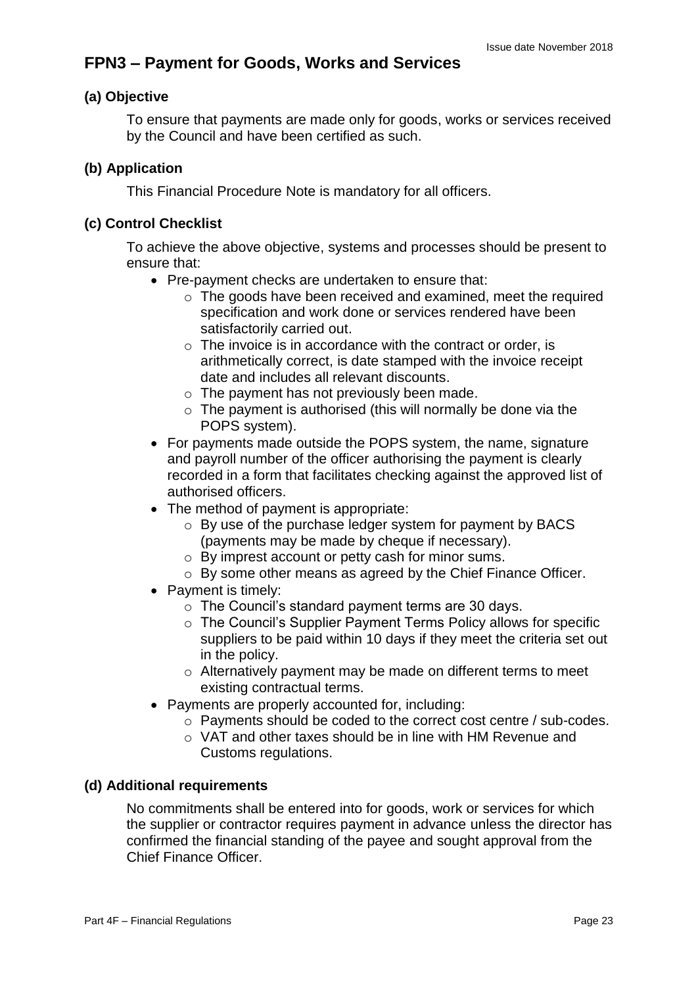## **FPN3 – Payment for Goods, Works and Services**

#### **(a) Objective**

To ensure that payments are made only for goods, works or services received by the Council and have been certified as such.

#### **(b) Application**

This Financial Procedure Note is mandatory for all officers.

#### **(c) Control Checklist**

To achieve the above objective, systems and processes should be present to ensure that:

- Pre-payment checks are undertaken to ensure that:
	- o The goods have been received and examined, meet the required specification and work done or services rendered have been satisfactorily carried out.
	- $\circ$  The invoice is in accordance with the contract or order, is arithmetically correct, is date stamped with the invoice receipt date and includes all relevant discounts.
	- o The payment has not previously been made.
	- $\circ$  The payment is authorised (this will normally be done via the POPS system).
- For payments made outside the POPS system, the name, signature and payroll number of the officer authorising the payment is clearly recorded in a form that facilitates checking against the approved list of authorised officers.
- The method of payment is appropriate:
	- o By use of the purchase ledger system for payment by BACS (payments may be made by cheque if necessary).
	- o By imprest account or petty cash for minor sums.
	- o By some other means as agreed by the Chief Finance Officer.
- Payment is timely:
	- o The Council's standard payment terms are 30 days.
	- o The Council's Supplier Payment Terms Policy allows for specific suppliers to be paid within 10 days if they meet the criteria set out in the policy.
	- o Alternatively payment may be made on different terms to meet existing contractual terms.
- Payments are properly accounted for, including:
	- o Payments should be coded to the correct cost centre / sub-codes.
	- o VAT and other taxes should be in line with HM Revenue and Customs regulations.

#### **(d) Additional requirements**

No commitments shall be entered into for goods, work or services for which the supplier or contractor requires payment in advance unless the director has confirmed the financial standing of the payee and sought approval from the Chief Finance Officer.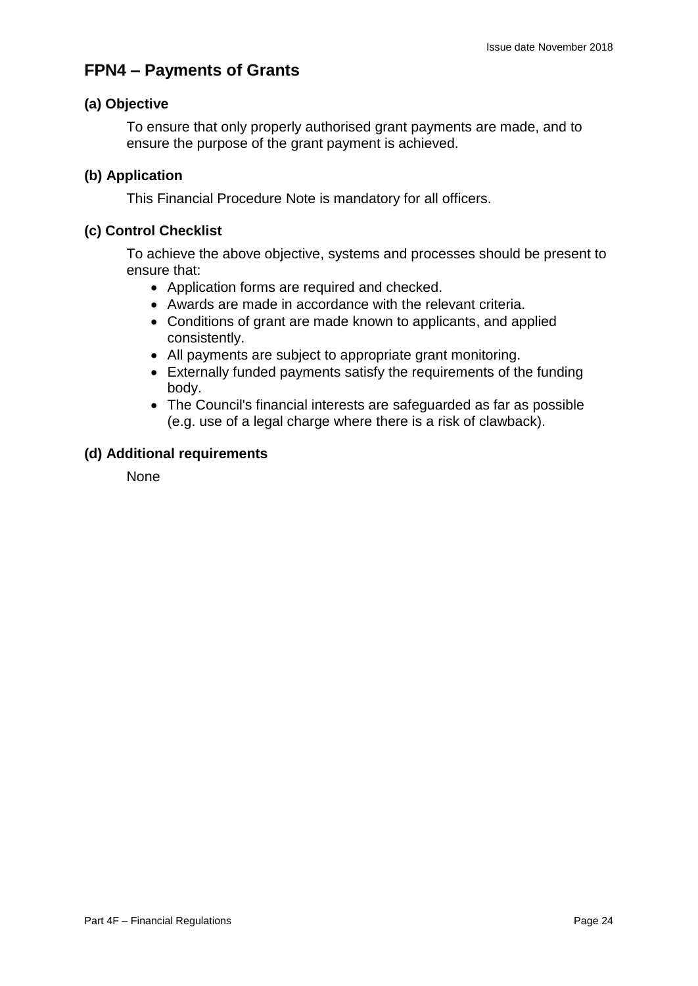## **FPN4 – Payments of Grants**

#### **(a) Objective**

To ensure that only properly authorised grant payments are made, and to ensure the purpose of the grant payment is achieved.

#### **(b) Application**

This Financial Procedure Note is mandatory for all officers.

#### **(c) Control Checklist**

To achieve the above objective, systems and processes should be present to ensure that:

- Application forms are required and checked.
- Awards are made in accordance with the relevant criteria.
- Conditions of grant are made known to applicants, and applied consistently.
- All payments are subject to appropriate grant monitoring.
- Externally funded payments satisfy the requirements of the funding body.
- The Council's financial interests are safeguarded as far as possible (e.g. use of a legal charge where there is a risk of clawback).

#### **(d) Additional requirements**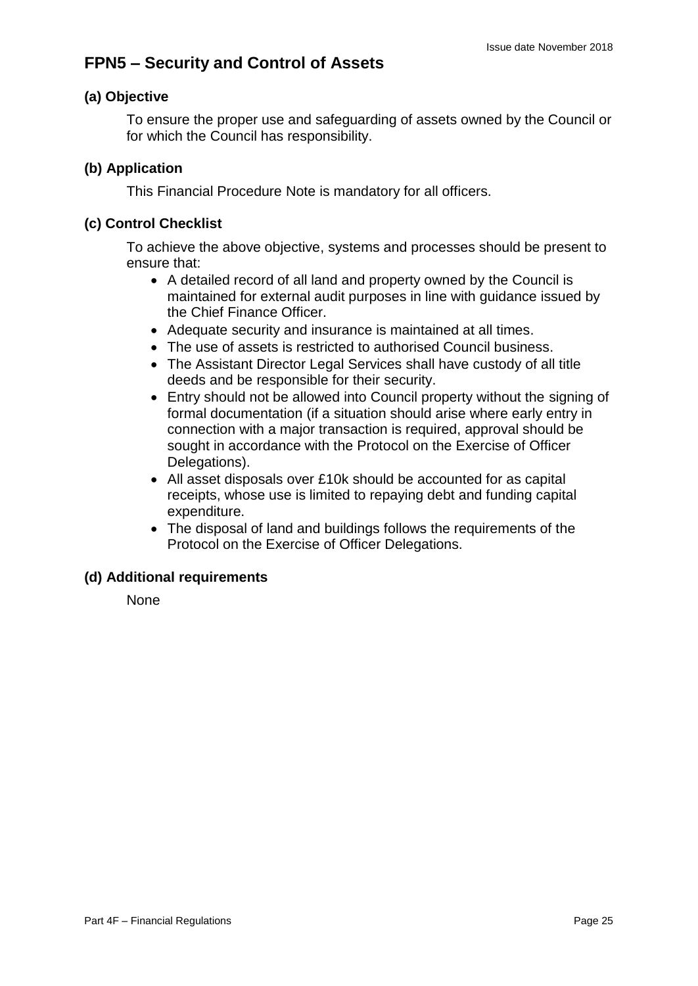## **FPN5 – Security and Control of Assets**

#### **(a) Objective**

To ensure the proper use and safeguarding of assets owned by the Council or for which the Council has responsibility.

#### **(b) Application**

This Financial Procedure Note is mandatory for all officers.

#### **(c) Control Checklist**

To achieve the above objective, systems and processes should be present to ensure that:

- A detailed record of all land and property owned by the Council is maintained for external audit purposes in line with guidance issued by the Chief Finance Officer.
- Adequate security and insurance is maintained at all times.
- The use of assets is restricted to authorised Council business.
- The Assistant Director Legal Services shall have custody of all title deeds and be responsible for their security.
- Entry should not be allowed into Council property without the signing of formal documentation (if a situation should arise where early entry in connection with a major transaction is required, approval should be sought in accordance with the Protocol on the Exercise of Officer Delegations).
- All asset disposals over £10k should be accounted for as capital receipts, whose use is limited to repaying debt and funding capital expenditure.
- The disposal of land and buildings follows the requirements of the Protocol on the Exercise of Officer Delegations.

#### **(d) Additional requirements**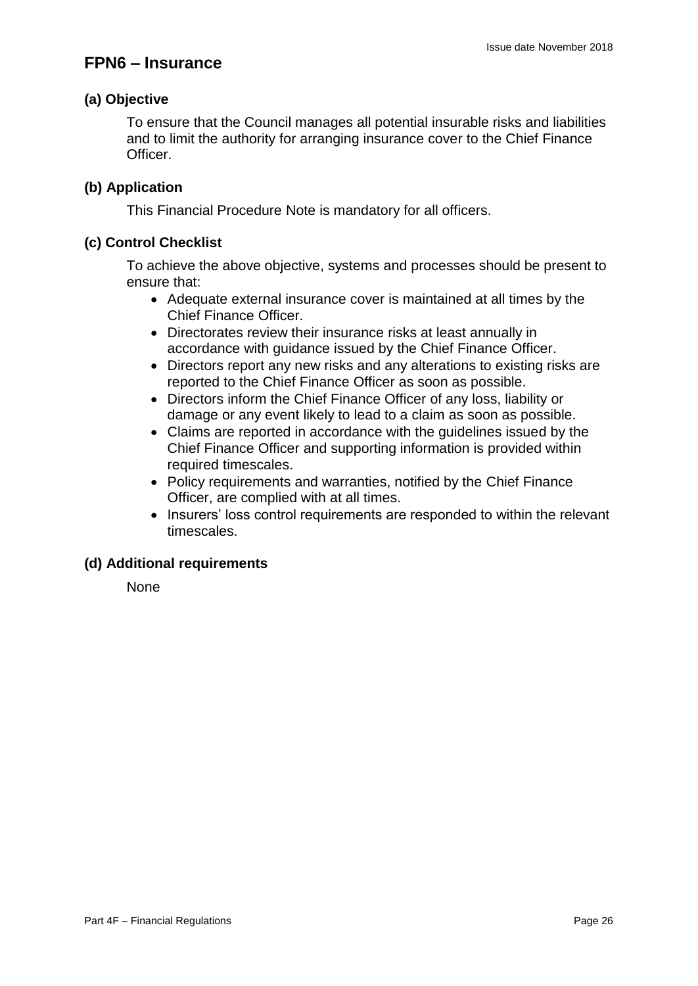### **FPN6 – Insurance**

#### **(a) Objective**

To ensure that the Council manages all potential insurable risks and liabilities and to limit the authority for arranging insurance cover to the Chief Finance Officer.

#### **(b) Application**

This Financial Procedure Note is mandatory for all officers.

#### **(c) Control Checklist**

To achieve the above objective, systems and processes should be present to ensure that:

- Adequate external insurance cover is maintained at all times by the Chief Finance Officer.
- Directorates review their insurance risks at least annually in accordance with guidance issued by the Chief Finance Officer.
- Directors report any new risks and any alterations to existing risks are reported to the Chief Finance Officer as soon as possible.
- Directors inform the Chief Finance Officer of any loss, liability or damage or any event likely to lead to a claim as soon as possible.
- Claims are reported in accordance with the guidelines issued by the Chief Finance Officer and supporting information is provided within required timescales.
- Policy requirements and warranties, notified by the Chief Finance Officer, are complied with at all times.
- Insurers' loss control requirements are responded to within the relevant timescales.

#### **(d) Additional requirements**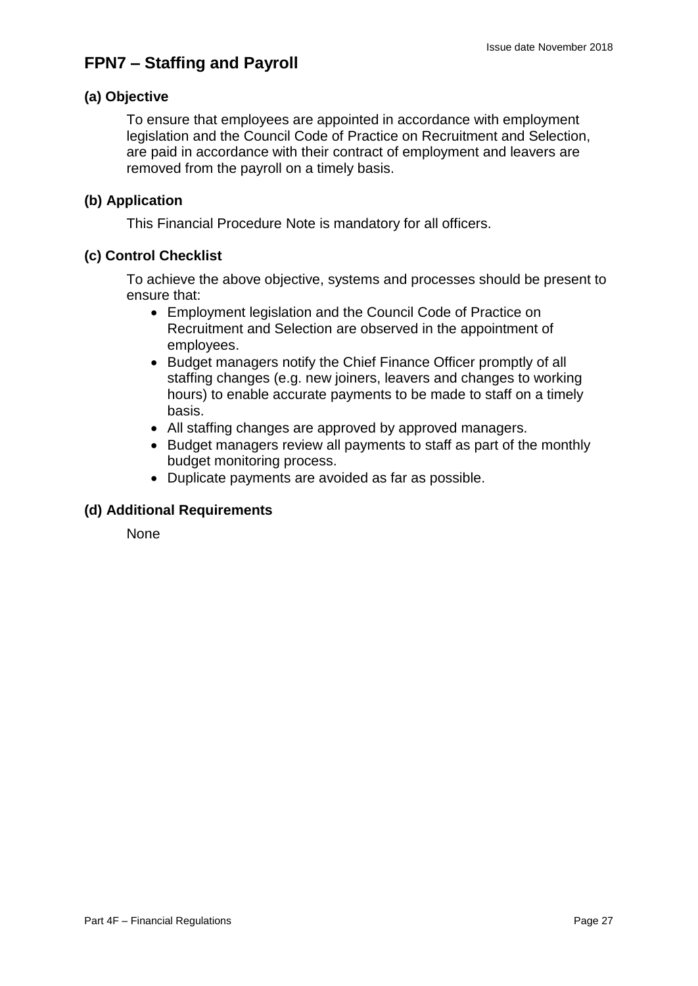## **FPN7 – Staffing and Payroll**

#### **(a) Objective**

To ensure that employees are appointed in accordance with employment legislation and the Council Code of Practice on Recruitment and Selection, are paid in accordance with their contract of employment and leavers are removed from the payroll on a timely basis.

#### **(b) Application**

This Financial Procedure Note is mandatory for all officers.

#### **(c) Control Checklist**

To achieve the above objective, systems and processes should be present to ensure that:

- Employment legislation and the Council Code of Practice on Recruitment and Selection are observed in the appointment of employees.
- Budget managers notify the Chief Finance Officer promptly of all staffing changes (e.g. new joiners, leavers and changes to working hours) to enable accurate payments to be made to staff on a timely basis.
- All staffing changes are approved by approved managers.
- Budget managers review all payments to staff as part of the monthly budget monitoring process.
- Duplicate payments are avoided as far as possible.

#### **(d) Additional Requirements**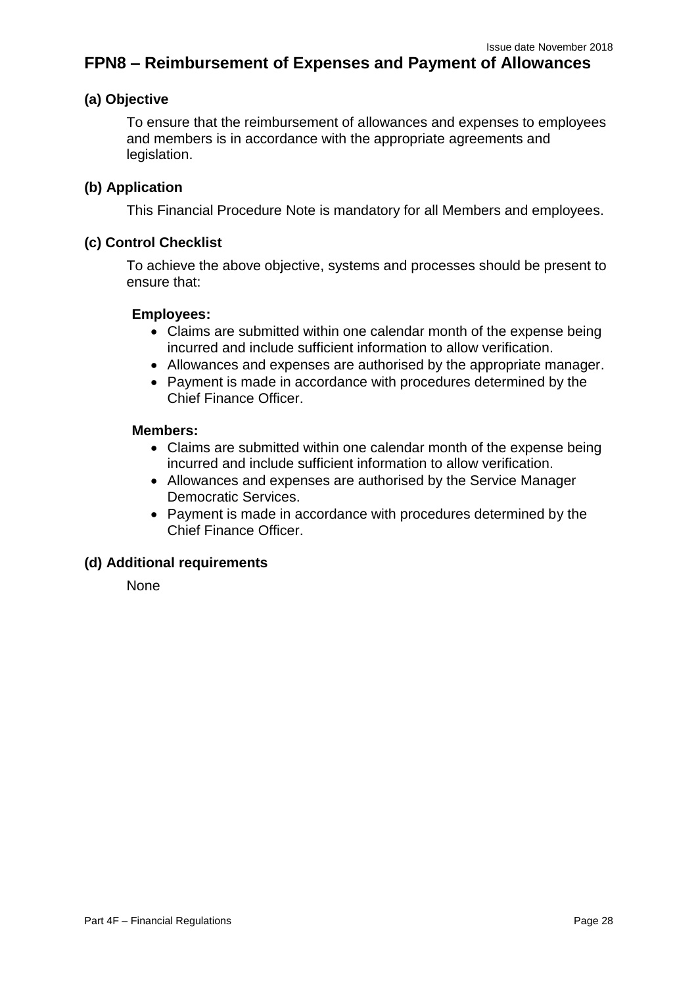### **FPN8 – Reimbursement of Expenses and Payment of Allowances**

#### **(a) Objective**

To ensure that the reimbursement of allowances and expenses to employees and members is in accordance with the appropriate agreements and legislation.

#### **(b) Application**

This Financial Procedure Note is mandatory for all Members and employees.

#### **(c) Control Checklist**

To achieve the above objective, systems and processes should be present to ensure that:

#### **Employees:**

- Claims are submitted within one calendar month of the expense being incurred and include sufficient information to allow verification.
- Allowances and expenses are authorised by the appropriate manager.
- Payment is made in accordance with procedures determined by the Chief Finance Officer.

#### **Members:**

- Claims are submitted within one calendar month of the expense being incurred and include sufficient information to allow verification.
- Allowances and expenses are authorised by the Service Manager Democratic Services.
- Payment is made in accordance with procedures determined by the Chief Finance Officer.

#### **(d) Additional requirements**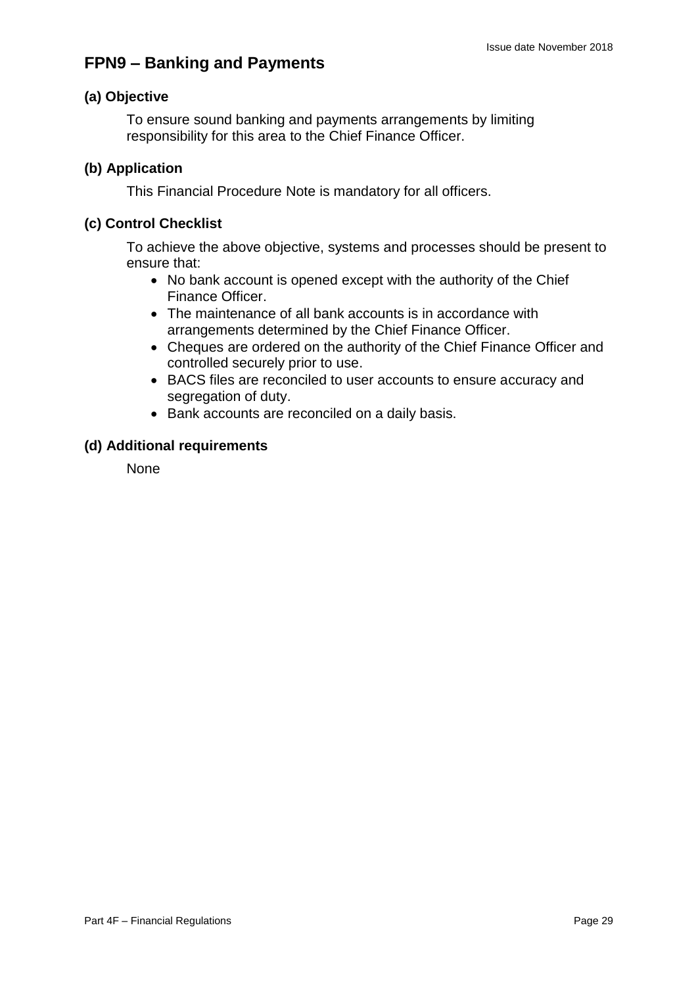## **FPN9 – Banking and Payments**

#### **(a) Objective**

To ensure sound banking and payments arrangements by limiting responsibility for this area to the Chief Finance Officer.

#### **(b) Application**

This Financial Procedure Note is mandatory for all officers.

#### **(c) Control Checklist**

To achieve the above objective, systems and processes should be present to ensure that:

- No bank account is opened except with the authority of the Chief Finance Officer.
- The maintenance of all bank accounts is in accordance with arrangements determined by the Chief Finance Officer.
- Cheques are ordered on the authority of the Chief Finance Officer and controlled securely prior to use.
- BACS files are reconciled to user accounts to ensure accuracy and segregation of duty.
- Bank accounts are reconciled on a daily basis.

#### **(d) Additional requirements**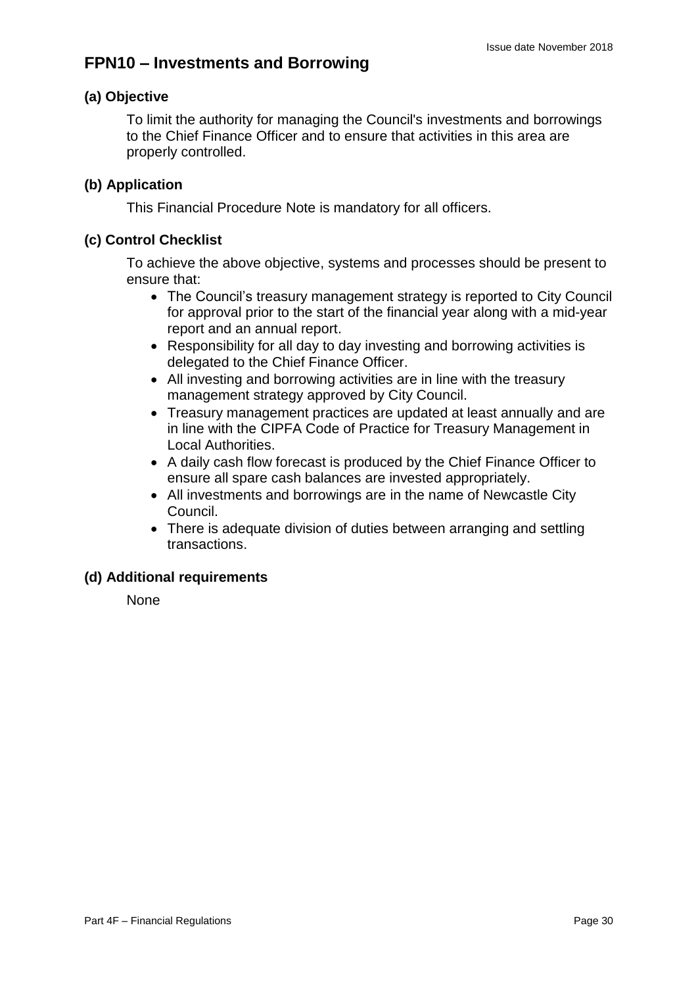### **FPN10 – Investments and Borrowing**

#### **(a) Objective**

To limit the authority for managing the Council's investments and borrowings to the Chief Finance Officer and to ensure that activities in this area are properly controlled.

#### **(b) Application**

This Financial Procedure Note is mandatory for all officers.

#### **(c) Control Checklist**

To achieve the above objective, systems and processes should be present to ensure that:

- The Council's treasury management strategy is reported to City Council for approval prior to the start of the financial year along with a mid-year report and an annual report.
- Responsibility for all day to day investing and borrowing activities is delegated to the Chief Finance Officer.
- All investing and borrowing activities are in line with the treasury management strategy approved by City Council.
- Treasury management practices are updated at least annually and are in line with the CIPFA Code of Practice for Treasury Management in Local Authorities.
- A daily cash flow forecast is produced by the Chief Finance Officer to ensure all spare cash balances are invested appropriately.
- All investments and borrowings are in the name of Newcastle City Council.
- There is adequate division of duties between arranging and settling transactions.

#### **(d) Additional requirements**